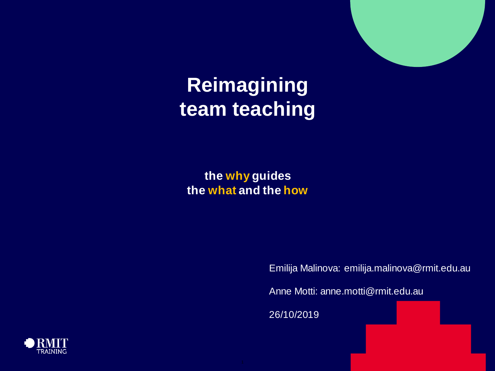

### **Reimagining team teaching**

**the why guides the what and the how**

Emilija Malinova: emilija.malinova@rmit.edu.au

Anne Motti: anne.motti@rmit.edu.au

26/10/2019

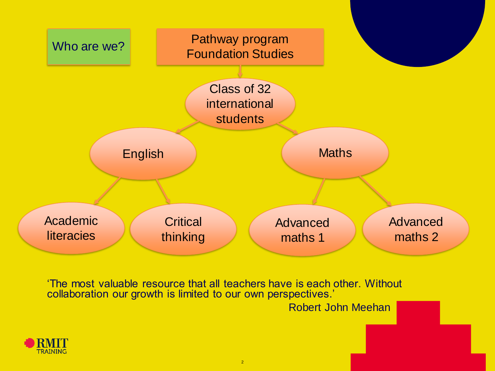

'The most valuable resource that all teachers have is each other. Without collaboration our growth is limited to our own perspectives.'

Robert John Meehan

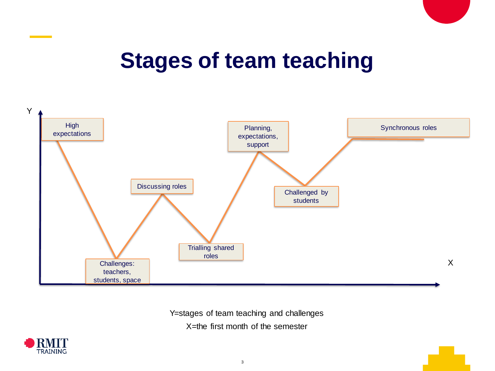## **Stages of team teaching**



Y=stages of team teaching and challenges X=the first month of the semester

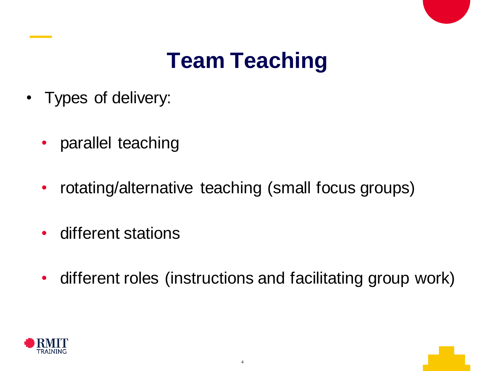# **Team Teaching**

- Types of delivery:
	- parallel teaching
	- rotating/alternative teaching (small focus groups)
	- different stations
	- different roles (instructions and facilitating group work)

4

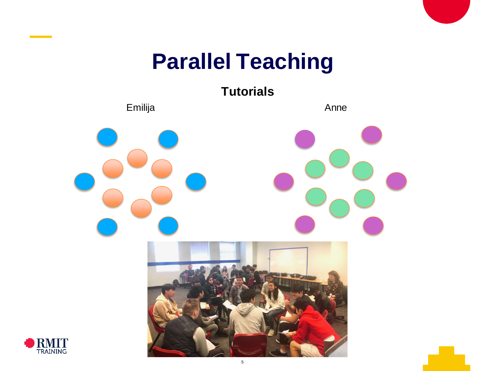## **Parallel Teaching**



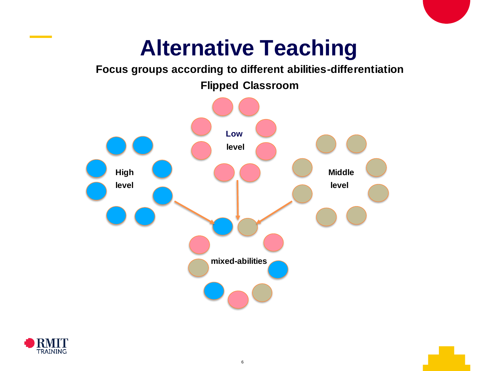### **Alternative Teaching**



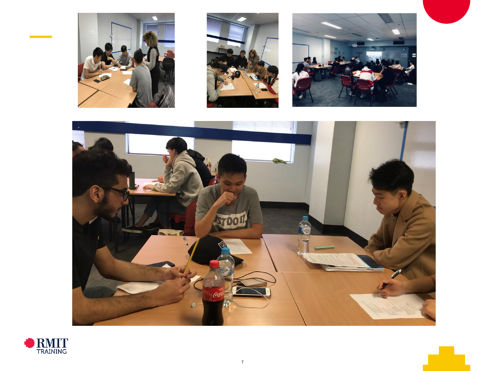







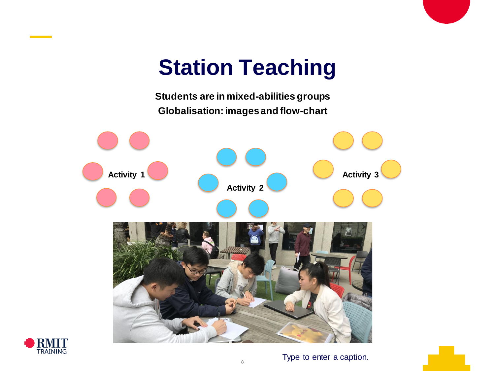# **Station Teaching**

**Students are in mixed-abilities groups Globalisation: images and flow-chart**



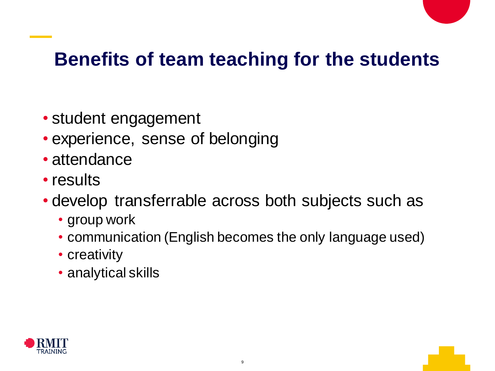### **Benefits of team teaching for the students**

- student engagement
- experience, sense of belonging
- attendance
- results

- develop transferrable across both subjects such as
	- group work
	- communication (English becomes the only language used)
	- creativity
	- analytical skills

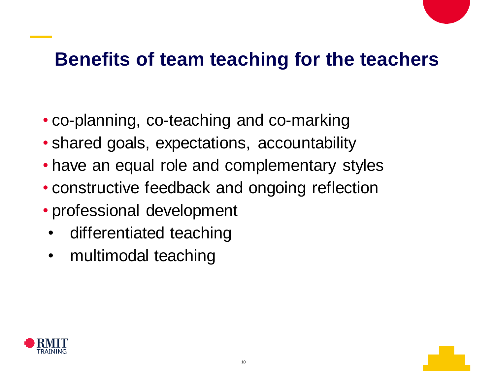### **Benefits of team teaching for the teachers**

- co-planning, co-teaching and co-marking
- shared goals, expectations, accountability
- have an equal role and complementary styles
- constructive feedback and ongoing reflection
- professional development
	- differentiated teaching
	- multimodal teaching

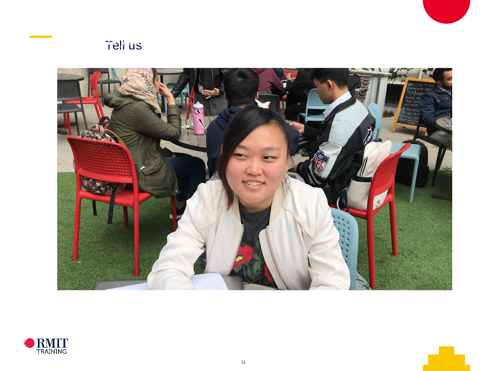